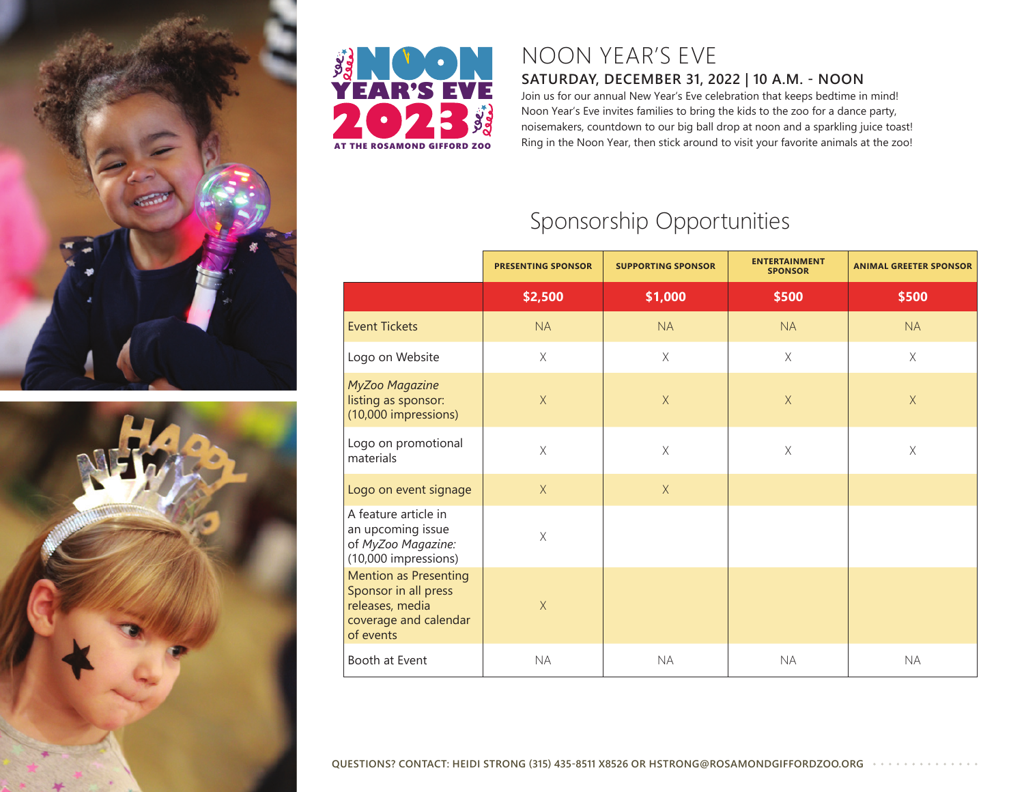





## NOON YEAR'S EVE

## **SATURDAY, DECEMBER 31, 2022 | 10 A.M. - NOON**

Join us for our annual New Year's Eve celebration that keeps bedtime in mind! Noon Year's Eve invites families to bring the kids to the zoo for a dance party, noisemakers, countdown to our big ball drop at noon and a sparkling juice toast! Ring in the Noon Year, then stick around to visit your favorite animals at the zoo!

## Sponsorship Opportunities

|                                                                                                               | <b>PRESENTING SPONSOR</b> | <b>SUPPORTING SPONSOR</b> | <b>ENTERTAINMENT</b><br><b>SPONSOR</b> | <b>ANIMAL GREETER SPONSOR</b> |
|---------------------------------------------------------------------------------------------------------------|---------------------------|---------------------------|----------------------------------------|-------------------------------|
|                                                                                                               | \$2,500                   | \$1,000                   | \$500                                  | \$500                         |
| <b>Event Tickets</b>                                                                                          | <b>NA</b>                 | <b>NA</b>                 | <b>NA</b>                              | <b>NA</b>                     |
| Logo on Website                                                                                               | $\times$                  | $\chi$                    | $\mathsf X$                            | $\mathsf X$                   |
| MyZoo Magazine<br>listing as sponsor:<br>(10,000 impressions)                                                 | $\chi$                    | $\mathsf X$               | $\mathsf X$                            | $\mathsf X$                   |
| Logo on promotional<br>materials                                                                              | $\times$                  | $\mathsf X$               | $\mathsf X$                            | $\mathsf X$                   |
| Logo on event signage                                                                                         | $\times$                  | $\chi$                    |                                        |                               |
| A feature article in<br>an upcoming issue<br>of MyZoo Magazine:<br>(10,000 impressions)                       | $\mathsf X$               |                           |                                        |                               |
| <b>Mention as Presenting</b><br>Sponsor in all press<br>releases, media<br>coverage and calendar<br>of events | X                         |                           |                                        |                               |
| Booth at Event                                                                                                | <b>NA</b>                 | <b>NA</b>                 | <b>NA</b>                              | <b>NA</b>                     |